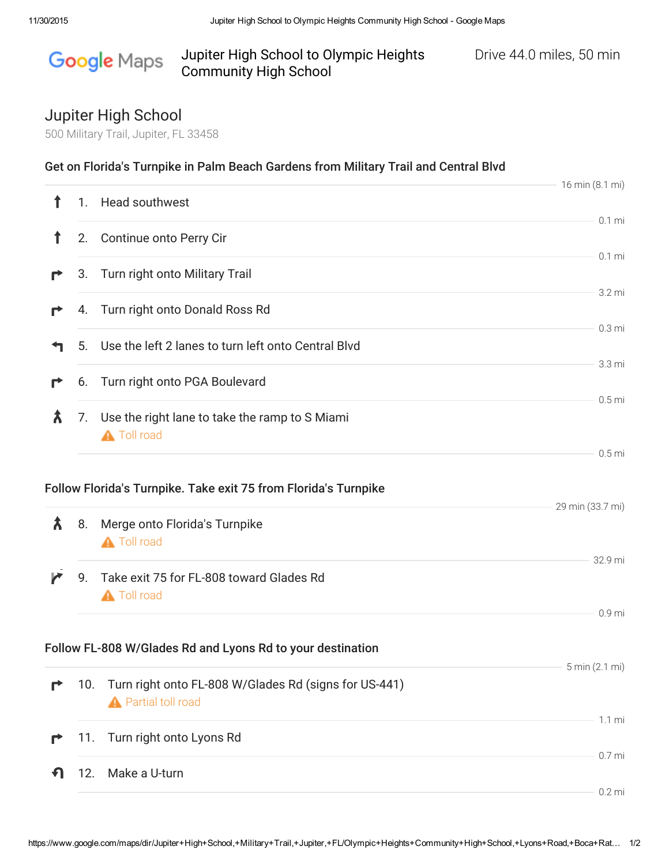## Google Maps Jupiter High School to Olympic Heights Drive 44.0 miles, 50 min Community High School

## Jupiter High School

500 Military Trail, Jupiter, FL 33458

|              |     | Get on Florida's Turnpike in Palm Beach Gardens from Military Trail and Central Blvd                            | 16 min (8.1 mi)  |
|--------------|-----|-----------------------------------------------------------------------------------------------------------------|------------------|
| $\mathbf{f}$ | 1.  | <b>Head southwest</b>                                                                                           |                  |
| Ť            | 2.  | Continue onto Perry Cir                                                                                         | $0.1$ mi         |
| r            | 3.  | Turn right onto Military Trail                                                                                  | $0.1$ mi         |
|              |     | 4. Turn right onto Donald Ross Rd                                                                               | 3.2 mi           |
|              |     |                                                                                                                 | $0.3 \text{ mi}$ |
|              | 5.  | Use the left 2 lanes to turn left onto Central Blvd                                                             | 3.3 mi           |
|              | 6.  | Turn right onto PGA Boulevard                                                                                   |                  |
| λ            | 7.  | Use the right lane to take the ramp to S Miami<br><b>A</b> Toll road                                            | $0.5$ mi         |
| Â            | 8.  | Follow Florida's Turnpike. Take exit 75 from Florida's Turnpike<br>Merge onto Florida's Turnpike<br>A Toll road | 29 min (33.7 mi) |
| ◸            | 9.  | Take exit 75 for FL-808 toward Glades Rd<br><b>A</b> Toll road                                                  | 32.9 mi          |
|              |     |                                                                                                                 | 0.9 mi           |
|              |     | Follow FL-808 W/Glades Rd and Lyons Rd to your destination                                                      | 5 min (2.1 mi)   |
|              | 10. | Turn right onto FL-808 W/Glades Rd (signs for US-441)<br><b>A</b> Partial toll road                             |                  |
| г            | 11. | Turn right onto Lyons Rd                                                                                        | $1.1 \text{ mi}$ |
|              |     |                                                                                                                 | $0.7$ mi         |
|              | 12. | Make a U-turn                                                                                                   | $0.2$ mi         |